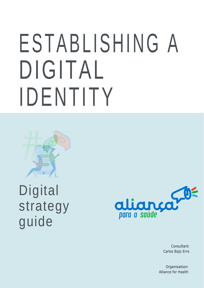# ESTABLISHING A DIGITAL IDENTIT Y



# **Digital** strategy guide



Consultant: Carlos Bajo Erro

Organisation: Alliance for Health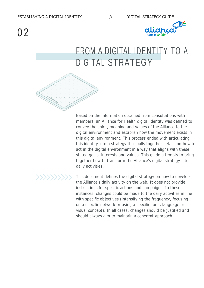

### FROM A DIGITAL IDENTITY TO A DIGITAL STRATEGY



Based on the information obtained from consultations with members, an Alliance for Health digital identity was defined to convey the spirit, meaning and values of the Alliance to the digital environment and establish how the movement exists in this digital environment. This process ended with articulating this identity into a strategy that pulls together details on how to act in the digital environment in a way that aligns with these stated goals, interests and values. This guide attempts to bring together how to transform the Alliance's digital strategy into daily activities.

This document defines the digital strategy on how to develop the Alliance's daily activity on the web. It does not provide instructions for specific actions and campaigns. In these instances, changes could be made to the daily activities in line with specific objectives (intensifying the frequency, focusing on a specific network or using a specific tone, language or visual concept). In all cases, changes should be justified and should always aim to maintain a coherent approach.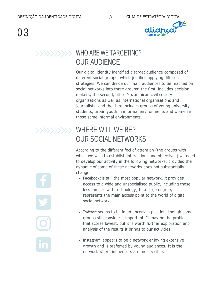

#### >>>>>>>>>>>>>> WHO ARE WE TARGETING? OUR AUDIENCE

Our digital identity identified a target audience composed of different social groups, which justifies applying different strategies. We can divide our main audiences to be reached on social networks into three groups: the first, includes decisionmakers; the second, other Mozambican civil society organisations as well as international organisations and journalists; and the third includes groups of young university students, urban youth in informal environments and women in those same informal environments.

### >>>>>>>>>>>>> WHERE WILL WE BE? OUR SOCIAL NETWORKS

According to the different foci of attention (the groups with which we wish to establish interactions and objectives) we need to develop our activity in the following networks, provided the dynamic of some of these networks does not substantially change:

- **Facebook**: is still the most popular network, it provides access to a wide and unspecialised public, including those less familiar with technology; to a large degree, it represents the main access point to the world of digital social networks.
- **Twitter**:seems to be in an uncertain position, though some groups still consider it important. It may be the profile that scores lowest, but it is worth further exploration and analysis of the results it brings to our activities.
- **Instagram**: appears to be a network enjoying extensive growth and is preferred by young audiences. It is the network where influencers are most visible.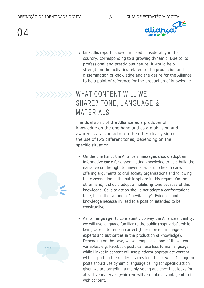



**LinkedIn**: reports show it is used considerably in the country, corresponding to a growing dynamic. Due to its professional and prestigious nature, it would help strengthen the activities related to the production and dissemination of knowledge and the desire for the Alliance to be a point of reference for the production of knowledge.

#### WHAT CONTENT WILL WE SHARE? TONE, LANGUAGE & **MATERIALS**

The dual spirit of the Alliance as a producer of knowledge on the one hand and as a mobilising and awareness-raising actor on the other clearly signals the use of two different tones, depending on the specific situation.

- On the one hand, the Alliance's messages should adopt an informative **tone** for disseminating knowledge to help build the narrative on the right to universal access to health care, offering arguments to civil society organisations and following the conversation in the public sphere in this regard. On the other hand, it should adopt a mobilising tone because of this knowledge. Calls to action should not adopt a confrontational tone, but rather a tone of "inevitability". Evidence and knowledge necessarily lead to a position intended to be constructive.
- As for **language**, to consistently convey the Alliance's identity, we will use language familiar to the public (popularist), while being careful to remain correct (to reinforce our image as experts and authorities in the production of knowledge). Depending on the case, we will emphasise one of these two variables, e.g. Facebook posts can use less formal language, while LinkedIn content will use platform-appropriate content without putting the reader at arms length. Likewise, Instagram posts should use dynamic language calling for specific action given we are targeting a mainly young audience that looks for attractive materials (which we will also take advantage of to fill with content.



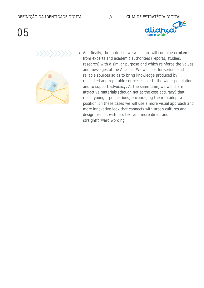



And finally, the materials we will share will combine **content** from experts and academic authorities (reports, studies, research) with a similar purpose and which reinforce the values and messages of the Alliance. We will look for serious and reliable sources so as to bring knowledge produced by respected and reputable sources closer to the wider population and to support advocacy. At the same time, we will share attractive materials (though not at the cost accuracy) that reach younger populations, encouraging them to adopt a position. In these cases we will use a more visual approach and more innovative look that connects with urban cultures and design trends, with less text and more direct and straightforward wording.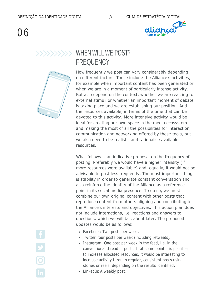

#### WHEN WILL WE POST? **FREQUENCY**

How frequently we post can vary considerably depending on different factors. These include the Alliance's activities, for example when important content has been generated or when we are in a moment of particularly intense activity. But also depend on the context, whether we are reacting to external stimuli or whether an important moment of debate is taking place and we are establishing our position. And the resources available, in terms of the time that can be devoted to this activity. More intensive activity would be ideal for creating our own space in the media ecosystem and making the most of all the possibilities for interaction, communication and networking offered by these tools, but we also need to be realistic and rationalise available resources.

What follows is an indicative proposal on the frequency of posting. Preferably we would have a higher intensity (if more resources were available) and, equally, it would not be advisable to post less frequently. The most important thing is stability in order to generate constant conversation and also reinforce the identity of the Alliance as a reference point in its social media presence. To do so, we must combine our own original content with other posts that reproduce content from others aligning and contributing to the Alliance's interests and objectives. This action plan does not include interactions, i.e. reactions and answers to questions, which we will talk about later. The proposed updates would be as follows:

- Facebook: Two posts per week.
- Twitter: four posts per week (including retweets).
- Instagram: One post per week in the feed, i.e. in the conventional thread of posts. If at some point it is possible to increase allocated resources, it would be interesting to increase activity through regular, consistent posts using stories or reels, depending on the results identified.
- LinkedIn: A weekly post.

 $\overline{\mathbf{O}}$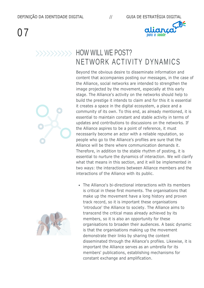

#### **HOW WILL WE POST?** NETWORK ACTIVITY DYNAMICS

Beyond the obvious desire to disseminate information and content that accompanies posting our messages, in the case of the Alliance, social networks are intended to strengthen the image projected by the movement, especially at this early stage. The Alliance's activity on the networks should help to build the prestige it intends to claim and for this it is essential it creates a space in the digital ecosystem, a place and a community of its own. To this end, as already mentioned, it is essential to maintain constant and stable activity in terms of updates and contributions to discussions on the networks. If the Alliance aspires to be a point of reference, it must necessarily become an actor with a reliable reputation, so people who go to the Alliance's profiles are sure that the Alliance will be there where communication demands it. Therefore, in addition to the stable rhythm of posting, it is essential to nurture the dynamics of interaction. We will clarify what that means in this section, and it will be implemented in two ways: the interactions between Alliance members and the interactions of the Alliance with its public.

The Alliance's bi-directional interactions with its members is critical in these first moments. The organisations that make up the movement have a long history and proven track record, so it is important these organisations 'introduce' the Alliance to society. The Alliance aims to transcend the critical mass already achieved by its members, so it is also an opportunity for these organisations to broaden their audiences. A basic dynamic is that the organisations making up the movement demonstrate their links by sharing the content disseminated through the Alliance's profiles. Likewise, it is important the Alliance serves as an umbrella for its members' publications, establishing mechanisms for constant exchange and amplification.



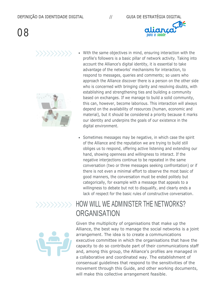



- With the same objectives in mind, ensuring interaction with the profile's followers is a basic pillar of network activity. Taking into account the Alliance's digital identity, it is essential to take advantage of the networks' mechanisms for interaction, to respond to messages, queries and comments; so users who approach the Alliance discover there is a person on the other side who is concerned with bringing clarity and resolving doubts, with establishing and strengthening ties and building a community based on exchanges. If we manage to build a solid community, this can, however, become laborious. This interaction will always depend on the availability of resources (human, economic and material), but it should be considered a priority because it marks our identity and underpins the goals of our existence in the digital environment.
- Sometimes messages may be negative, in which case the spirit of the Alliance and the reputation we are trying to build still obliges us to respond, offering active listening and extending our hand, showing openness and willingness to interact. If the negative interjections continue to be repeated in the same conversation (two or three messages seeking confrontation) or if there is not even a minimal effort to observe the most basic of good manners, the conversation must be ended politely but categorically, for example with a message that appeals to a willingness to debate but not to disqualify, and clearly ends a lack of respect for the basic rules of constructive conversation.



#### HOW WILL WE ADMINISTER THE NETWORKS? **ORGANISATION**



Given the multiplicity of organisations that make up the Alliance, the best way to manage the social networks is a joint arrangement. The idea is to create a communications executive committee in which the organisations that have the capacity to do so contribute part of their communications staff and, among this group, the Alliance's profiles are managed in a collaborative and coordinated way. The establishment of consensual guidelines that respond to the sensitivities of the movement through this Guide, and other working documents, will make this collective arrangement feasible.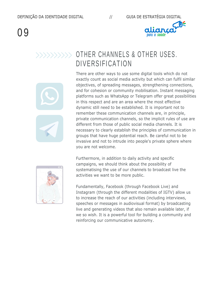

#### >>>>>>>>>>>>>>> OTHER CHANNELS & OTHER USES. DIVERSIFICATION

There are other ways to use some digital tools which do not exactly count as social media activity but which can fulfil similar objectives, of spreading messages, strengthening connections, and for cohesion or community mobilisation. Instant messaging platforms such as WhatsApp or Telegram offer great possibilities in this respect and are an area where the most effective dynamic still need to be established. It is important not to remember these communication channels are, in principle, private communication channels, so the implicit rules of use are different from those of public social media channels. It is necessary to clearly establish the principles of communication in groups that have huge potential reach. Be careful not to be invasive and not to intrude into people's private sphere where you are not welcome.

Furthermore, in addition to daily activity and specific campaigns, we should think about the possibility of systematising the use of our channels to broadcast live the activities we want to be more public.

Fundamentally, Facebook (through Facebook Live) and Instagram (through the different modalities of IGTV) allow us to increase the reach of our activities (including interviews, speeches or messages in audiovisual format) by broadcasting live and generating videos that also remain available later, if we so wish. It is a powerful tool for building a community and reinforcing our communicative autonomy.